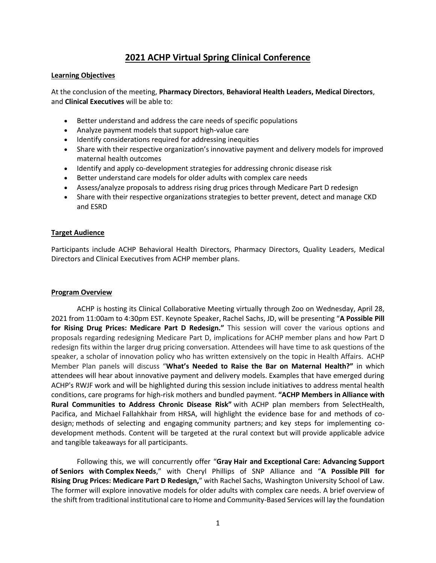# **2021 ACHP Virtual Spring Clinical Conference**

#### **Learning Objectives**

At the conclusion of the meeting, **Pharmacy Directors**, **Behavioral Health Leaders, Medical Directors**, and **Clinical Executives** will be able to:

- Better understand and address the care needs of specific populations
- Analyze payment models that support high-value care
- Identify considerations required for addressing inequities
- Share with their respective organization's innovative payment and delivery models for improved maternal health outcomes
- Identify and apply co-development strategies for addressing chronic disease risk
- Better understand care models for older adults with complex care needs
- Assess/analyze proposals to address rising drug prices through Medicare Part D redesign
- Share with their respective organizations strategies to better prevent, detect and manage CKD and ESRD

#### **Target Audience**

Participants include ACHP Behavioral Health Directors, Pharmacy Directors, Quality Leaders, Medical Directors and Clinical Executives from ACHP member plans.

#### **Program Overview**

ACHP is hosting its Clinical Collaborative Meeting virtually through Zoo on Wednesday, April 28, 2021 from 11:00am to 4:30pm EST. Keynote Speaker, Rachel Sachs, JD, will be presenting "**A Possible Pill for Rising Drug Prices: Medicare Part D Redesign."** This session will cover the various options and proposals regarding redesigning Medicare Part D, implications for ACHP member plans and how Part D redesign fits within the larger drug pricing conversation. Attendees will have time to ask questions of the speaker, a scholar of innovation policy who has written extensively on the topic in Health Affairs. ACHP Member Plan panels will discuss "**What's Needed to Raise the Bar on Maternal Health?"** in which attendees will hear about innovative payment and delivery models. Examples that have emerged during ACHP's RWJF work and will be highlighted during this session include initiatives to address mental health conditions, care programs for high-risk mothers and bundled payment. **"ACHP Members in Alliance with Rural Communities to Address Chronic Disease Risk"** with ACHP plan members from SelectHealth, Pacifica, and Michael Fallahkhair from HRSA, will highlight the evidence base for and methods of codesign; methods of selecting and engaging community partners; and key steps for implementing codevelopment methods. Content will be targeted at the rural context but will provide applicable advice and tangible takeaways for all participants.

Following this, we will concurrently offer "**Gray Hair and Exceptional Care: Advancing Support of Seniors with Complex Needs**," with Cheryl Phillips of SNP Alliance and "**A Possible Pill for Rising Drug Prices: Medicare Part D Redesign,**" with Rachel Sachs, Washington University School of Law. The former will explore innovative models for older adults with complex care needs. A brief overview of the shift from traditional institutional care to Home and Community-Based Services will lay the foundation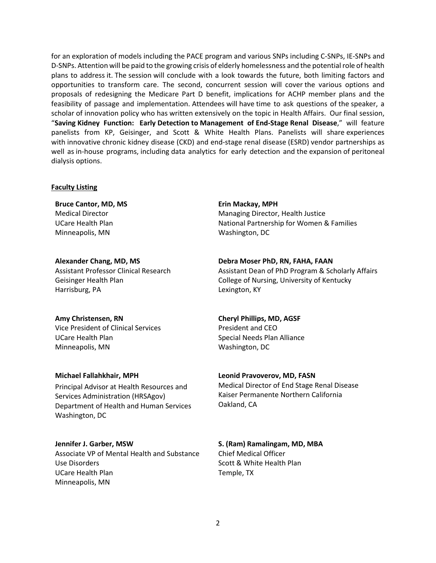for an exploration of models including the PACE program and various SNPs including C-SNPs, IE-SNPs and D-SNPs. Attention will be paid to the growing crisis of elderly homelessness and the potential role of health plans to address it. The session will conclude with a look towards the future, both limiting factors and opportunities to transform care. The second, concurrent session will cover the various options and proposals of redesigning the Medicare Part D benefit, implications for ACHP member plans and the feasibility of passage and implementation. Attendees will have time to ask questions of the speaker, a scholar of innovation policy who has written extensively on the topic in Health Affairs. Our final session, "**Saving Kidney Function: Early Detection to Management of End-Stage Renal Disease**," will feature panelists from KP, Geisinger, and Scott & White Health Plans. Panelists will share experiences with innovative chronic kidney disease (CKD) and end-stage renal disease (ESRD) vendor partnerships as well as in-house programs, including data analytics for early detection and the expansion of peritoneal dialysis options.

#### **Faculty Listing**

**Bruce Cantor, MD, MS** Medical Director UCare Health Plan Minneapolis, MN

**Alexander Chang, MD, MS** Assistant Professor Clinical Research Geisinger Health Plan Harrisburg, PA

**Amy Christensen, RN**

Vice President of Clinical Services UCare Health Plan Minneapolis, MN

#### **Michael Fallahkhair, MPH**

Principal Advisor at Health Resources and Services Administration (HRSAgov) Department of Health and Human Services Washington, DC

#### **Jennifer J. Garber, MSW**

Associate VP of Mental Health and Substance Use Disorders UCare Health Plan Minneapolis, MN

**Erin Mackay, MPH** Managing Director, Health Justice National Partnership for Women & Families Washington, DC

**Debra Moser PhD, RN, FAHA, FAAN**

Assistant Dean of PhD Program & Scholarly Affairs College of Nursing, University of Kentucky Lexington, KY

#### **Cheryl Phillips, MD, AGSF**

President and CEO Special Needs Plan Alliance Washington, DC

#### **Leonid Pravoverov, MD, FASN**

Medical Director of End Stage Renal Disease Kaiser Permanente Northern California Oakland, CA

## **S. (Ram) Ramalingam, MD, MBA**

Chief Medical Officer Scott & White Health Plan Temple, TX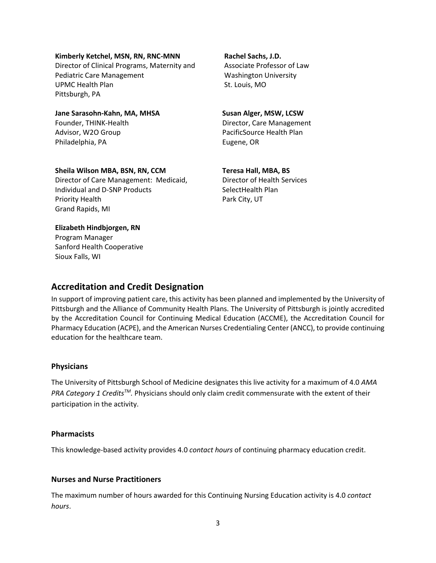#### **Kimberly Ketchel, MSN, RN, RNC-MNN**

Director of Clinical Programs, Maternity and Pediatric Care Management UPMC Health Plan Pittsburgh, PA

**Jane Sarasohn-Kahn, MA, MHSA** Founder, THINK-Health Advisor, W2O Group Philadelphia, PA

**Rachel Sachs, J.D.** Associate Professor of Law Washington University St. Louis, MO

### **Susan Alger, MSW, LCSW** Director, Care Management PacificSource Health Plan

Eugene, OR

### **Sheila Wilson MBA, BSN, RN, CCM** Director of Care Management: Medicaid, Individual and D-SNP Products Priority Health Grand Rapids, MI

**Teresa Hall, MBA, BS** Director of Health Services SelectHealth Plan Park City, UT

### **Elizabeth Hindbjorgen, RN**

Program Manager Sanford Health Cooperative Sioux Falls, WI

# **Accreditation and Credit Designation**

In support of improving patient care, this activity has been planned and implemented by the University of Pittsburgh and the Alliance of Community Health Plans. The University of Pittsburgh is jointly accredited by the Accreditation Council for Continuing Medical Education (ACCME), the Accreditation Council for Pharmacy Education (ACPE), and the American Nurses Credentialing Center (ANCC), to provide continuing education for the healthcare team.

#### **Physicians**

The University of Pittsburgh School of Medicine designates this live activity for a maximum of 4.0 *AMA PRA Category 1 CreditsTM.* Physicians should only claim credit commensurate with the extent of their participation in the activity.

#### **Pharmacists**

This knowledge-based activity provides 4.0 *contact hours* of continuing pharmacy education credit.

## **Nurses and Nurse Practitioners**

The maximum number of hours awarded for this Continuing Nursing Education activity is 4.0 *contact hours*.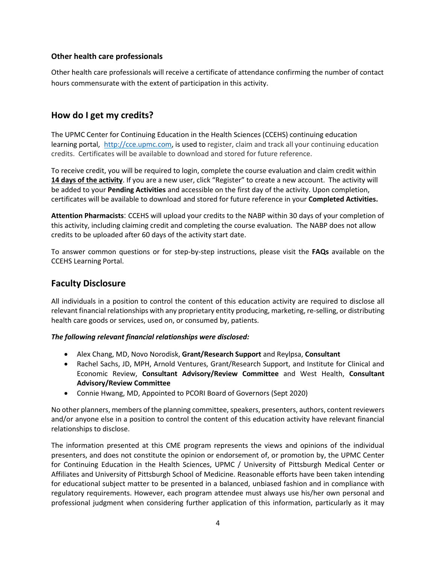## **Other health care professionals**

Other health care professionals will receive a certificate of attendance confirming the number of contact hours commensurate with the extent of participation in this activity.

# **How do I get my credits?**

The UPMC Center for Continuing Education in the Health Sciences (CCEHS) continuing education learning portal, [http://cce.upmc.com,](http://cce.upmc.com/) is used to register, claim and track all your continuing education credits. Certificates will be available to download and stored for future reference.

To receive credit, you will be required to login, complete the course evaluation and claim credit within **14 days of the activity**. If you are a new user, click "Register" to create a new account. The activity will be added to your **Pending Activities** and accessible on the first day of the activity. Upon completion, certificates will be available to download and stored for future reference in your **Completed Activities.**

**Attention Pharmacists**: CCEHS will upload your credits to the NABP within 30 days of your completion of this activity, including claiming credit and completing the course evaluation. The NABP does not allow credits to be uploaded after 60 days of the activity start date.

To answer common questions or for step-by-step instructions, please visit the **FAQs** available on the CCEHS Learning Portal.

# **Faculty Disclosure**

All individuals in a position to control the content of this education activity are required to disclose all relevant financial relationships with any proprietary entity producing, marketing, re-selling, or distributing health care goods or services, used on, or consumed by, patients.

## *The following relevant financial relationships were disclosed:*

- Alex Chang, MD, Novo Norodisk, **Grant/Research Support** and Reylpsa, **Consultant**
- Rachel Sachs, JD, MPH, Arnold Ventures, Grant/Research Support, and Institute for Clinical and Economic Review, **Consultant Advisory/Review Committee** and West Health, **Consultant Advisory/Review Committee**
- Connie Hwang, MD, Appointed to PCORI Board of Governors (Sept 2020)

No other planners, members of the planning committee, speakers, presenters, authors, content reviewers and/or anyone else in a position to control the content of this education activity have relevant financial relationships to disclose.

The information presented at this CME program represents the views and opinions of the individual presenters, and does not constitute the opinion or endorsement of, or promotion by, the UPMC Center for Continuing Education in the Health Sciences, UPMC / University of Pittsburgh Medical Center or Affiliates and University of Pittsburgh School of Medicine. Reasonable efforts have been taken intending for educational subject matter to be presented in a balanced, unbiased fashion and in compliance with regulatory requirements. However, each program attendee must always use his/her own personal and professional judgment when considering further application of this information, particularly as it may